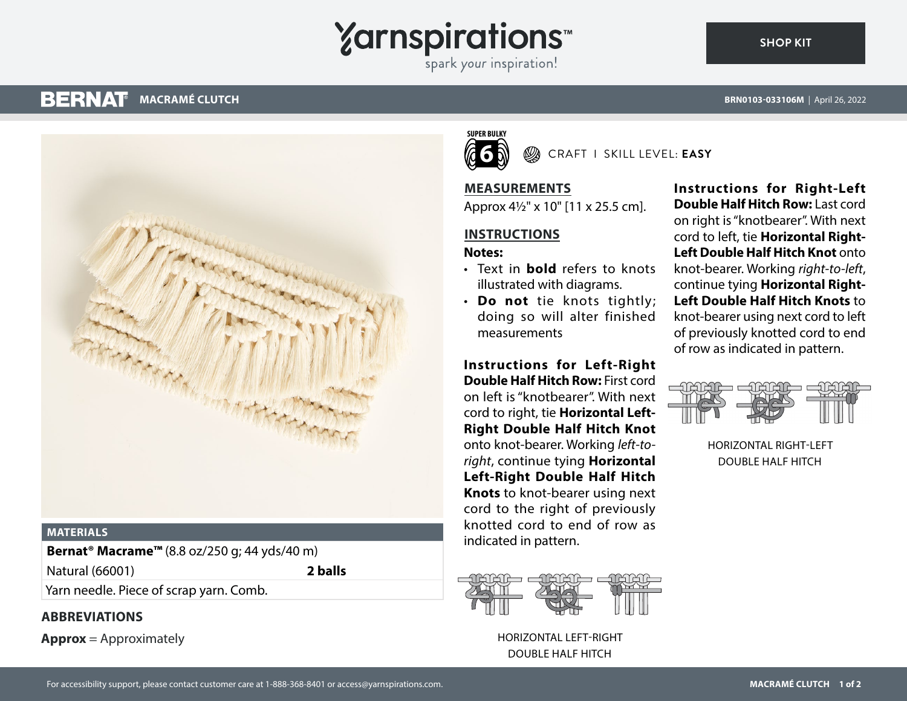## **Yarnspirations**

spark your inspiration!

#### **BERNAT MACRAMÉ CLUTCH**

**SHOP KIT**



### **MATERIALS**

**Bernat® Macrame™** (8.8 oz/250 g; 44 yds/40 m)

Natural (66001) **2 balls**

Yarn needle. Piece of scrap yarn. Comb.

## **ABBREVIATIONS**

**Approx** = Approximately

#### **SUPER BULKY 6** CRAFT I SKILL LEVEL: **EASY**

**MEASUREMENTS**

Approx 4½" x 10" [11 x 25.5 cm].

## **INSTRUCTIONS**

### **Notes:**

- Text in **bold** refers to knots illustrated with diagrams.
- **Do not** tie knots tightly; doing so will alter finished measurements

**Instructions for Left-Right Double Half Hitch Row:** First cord on left is "knotbearer". With next cord to right, tie **Horizontal Left-Right Double Half Hitch Knot** onto knot-bearer. Working *left-toright*, continue tying **Horizontal Left-Right Double Half Hitch Knots** to knot-bearer using next cord to the right of previously knotted cord to end of row as indicated in pattern.



HORIZONTAL LEFT-RIGHT DOUBLE HALF HITCH

**Instructions for Right-Left Double Half Hitch Row:** Last cord on right is "knotbearer". With next cord to left, tie **Horizontal Right-Left Double Half Hitch Knot** onto knot-bearer. Working *right-to-left*, continue tying **Horizontal Right-Left Double Half Hitch Knots** to knot-bearer using next cord to left of previously knotted cord to end of row as indicated in pattern.



HORIZONTAL RIGHT-LEFT DOUBLE HALF HITCH